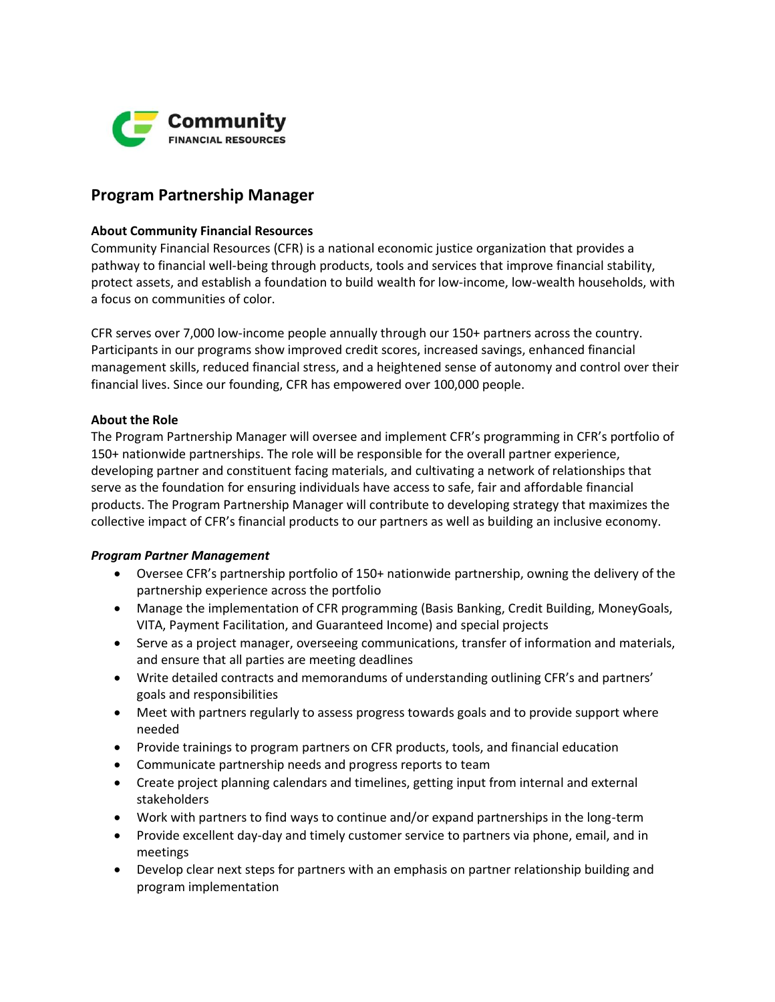

# **Program Partnership Manager**

### **About Community Financial Resources**

Community Financial Resources (CFR) is a national economic justice organization that provides a pathway to financial well-being through products, tools and services that improve financial stability, protect assets, and establish a foundation to build wealth for low-income, low-wealth households, with a focus on communities of color.

CFR serves over 7,000 low-income people annually through our 150+ partners across the country. Participants in our programs show improved credit scores, increased savings, enhanced financial management skills, reduced financial stress, and a heightened sense of autonomy and control over their financial lives. Since our founding, CFR has empowered over 100,000 people.

### **About the Role**

The Program Partnership Manager will oversee and implement CFR's programming in CFR's portfolio of 150+ nationwide partnerships. The role will be responsible for the overall partner experience, developing partner and constituent facing materials, and cultivating a network of relationships that serve as the foundation for ensuring individuals have access to safe, fair and affordable financial products. The Program Partnership Manager will contribute to developing strategy that maximizes the collective impact of CFR's financial products to our partners as well as building an inclusive economy.

## *Program Partner Management*

- Oversee CFR's partnership portfolio of 150+ nationwide partnership, owning the delivery of the partnership experience across the portfolio
- Manage the implementation of CFR programming (Basis Banking, Credit Building, MoneyGoals, VITA, Payment Facilitation, and Guaranteed Income) and special projects
- Serve as a project manager, overseeing communications, transfer of information and materials, and ensure that all parties are meeting deadlines
- Write detailed contracts and memorandums of understanding outlining CFR's and partners' goals and responsibilities
- Meet with partners regularly to assess progress towards goals and to provide support where needed
- Provide trainings to program partners on CFR products, tools, and financial education
- Communicate partnership needs and progress reports to team
- Create project planning calendars and timelines, getting input from internal and external stakeholders
- Work with partners to find ways to continue and/or expand partnerships in the long-term
- Provide excellent day-day and timely customer service to partners via phone, email, and in meetings
- Develop clear next steps for partners with an emphasis on partner relationship building and program implementation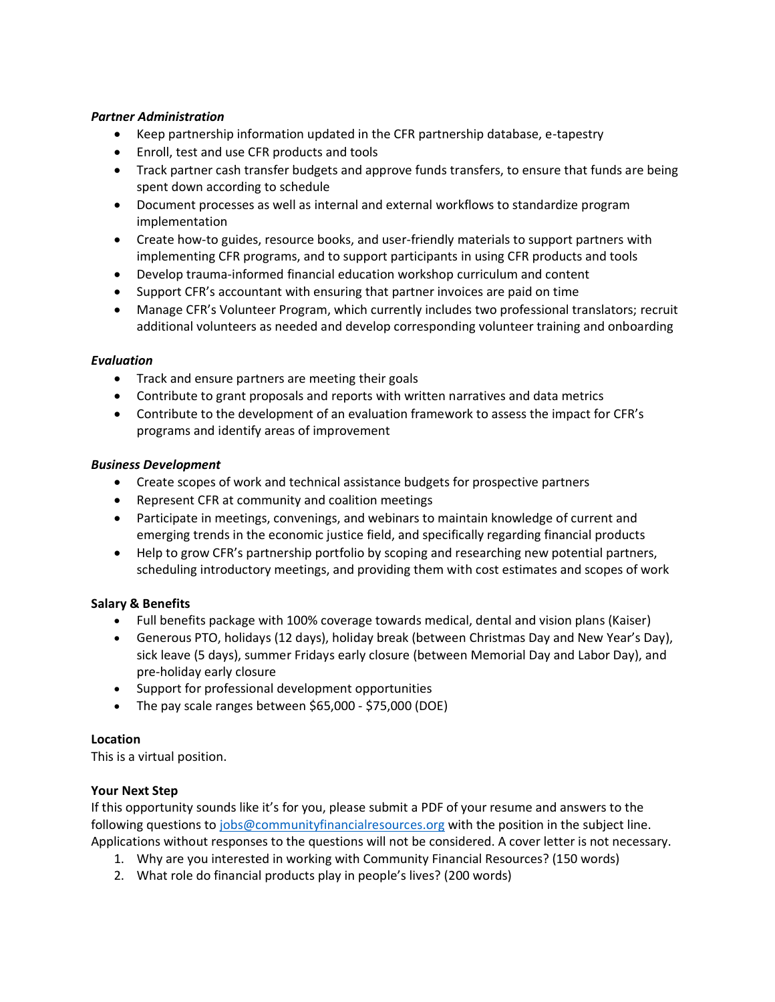## *Partner Administration*

- Keep partnership information updated in the CFR partnership database, e-tapestry
- Enroll, test and use CFR products and tools
- Track partner cash transfer budgets and approve funds transfers, to ensure that funds are being spent down according to schedule
- Document processes as well as internal and external workflows to standardize program implementation
- Create how-to guides, resource books, and user-friendly materials to support partners with implementing CFR programs, and to support participants in using CFR products and tools
- Develop trauma-informed financial education workshop curriculum and content
- Support CFR's accountant with ensuring that partner invoices are paid on time
- Manage CFR's Volunteer Program, which currently includes two professional translators; recruit additional volunteers as needed and develop corresponding volunteer training and onboarding

### *Evaluation*

- Track and ensure partners are meeting their goals
- Contribute to grant proposals and reports with written narratives and data metrics
- Contribute to the development of an evaluation framework to assess the impact for CFR's programs and identify areas of improvement

### *Business Development*

- Create scopes of work and technical assistance budgets for prospective partners
- Represent CFR at community and coalition meetings
- Participate in meetings, convenings, and webinars to maintain knowledge of current and emerging trends in the economic justice field, and specifically regarding financial products
- Help to grow CFR's partnership portfolio by scoping and researching new potential partners, scheduling introductory meetings, and providing them with cost estimates and scopes of work

## **Salary & Benefits**

- Full benefits package with 100% coverage towards medical, dental and vision plans (Kaiser)
- Generous PTO, holidays (12 days), holiday break (between Christmas Day and New Year's Day), sick leave (5 days), summer Fridays early closure (between Memorial Day and Labor Day), and pre-holiday early closure
- Support for professional development opportunities
- The pay scale ranges between \$65,000 \$75,000 (DOE)

## **Location**

This is a virtual position.

## **Your Next Step**

If this opportunity sounds like it's for you, please submit a PDF of your resume and answers to the following questions t[o jobs@communityfinancialresources.org](mailto:jobs@communityfinancialresources.org) with the position in the subject line. Applications without responses to the questions will not be considered. A cover letter is not necessary.

- 1. Why are you interested in working with Community Financial Resources? (150 words)
- 2. What role do financial products play in people's lives? (200 words)